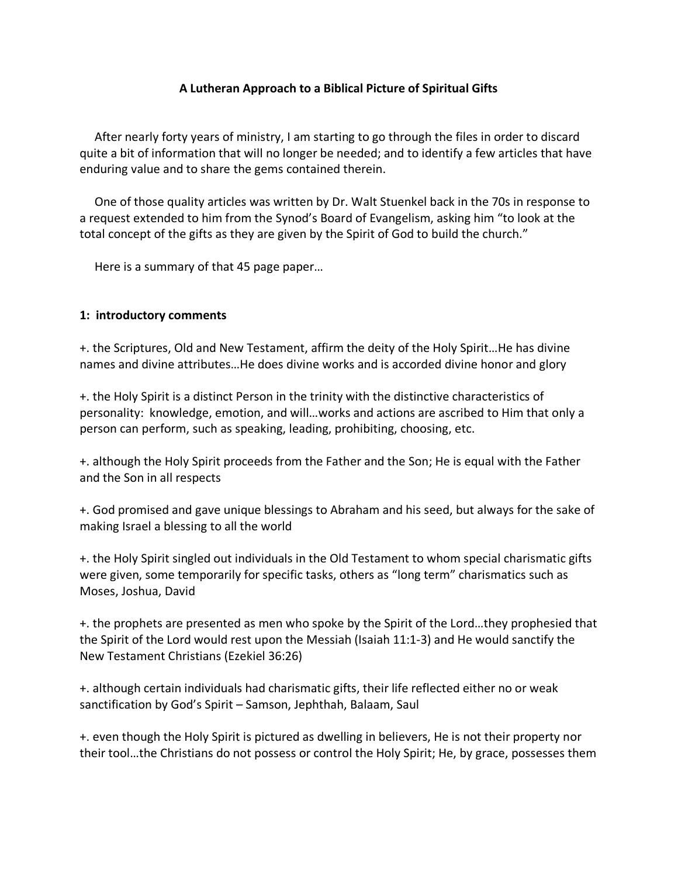## **A Lutheran Approach to a Biblical Picture of Spiritual Gifts**

 After nearly forty years of ministry, I am starting to go through the files in order to discard quite a bit of information that will no longer be needed; and to identify a few articles that have enduring value and to share the gems contained therein.

 One of those quality articles was written by Dr. Walt Stuenkel back in the 70s in response to a request extended to him from the Synod's Board of Evangelism, asking him "to look at the total concept of the gifts as they are given by the Spirit of God to build the church."

Here is a summary of that 45 page paper…

## **1: introductory comments**

+. the Scriptures, Old and New Testament, affirm the deity of the Holy Spirit…He has divine names and divine attributes…He does divine works and is accorded divine honor and glory

+. the Holy Spirit is a distinct Person in the trinity with the distinctive characteristics of personality: knowledge, emotion, and will…works and actions are ascribed to Him that only a person can perform, such as speaking, leading, prohibiting, choosing, etc.

+. although the Holy Spirit proceeds from the Father and the Son; He is equal with the Father and the Son in all respects

+. God promised and gave unique blessings to Abraham and his seed, but always for the sake of making Israel a blessing to all the world

+. the Holy Spirit singled out individuals in the Old Testament to whom special charismatic gifts were given, some temporarily for specific tasks, others as "long term" charismatics such as Moses, Joshua, David

+. the prophets are presented as men who spoke by the Spirit of the Lord…they prophesied that the Spirit of the Lord would rest upon the Messiah (Isaiah 11:1-3) and He would sanctify the New Testament Christians (Ezekiel 36:26)

+. although certain individuals had charismatic gifts, their life reflected either no or weak sanctification by God's Spirit – Samson, Jephthah, Balaam, Saul

+. even though the Holy Spirit is pictured as dwelling in believers, He is not their property nor their tool…the Christians do not possess or control the Holy Spirit; He, by grace, possesses them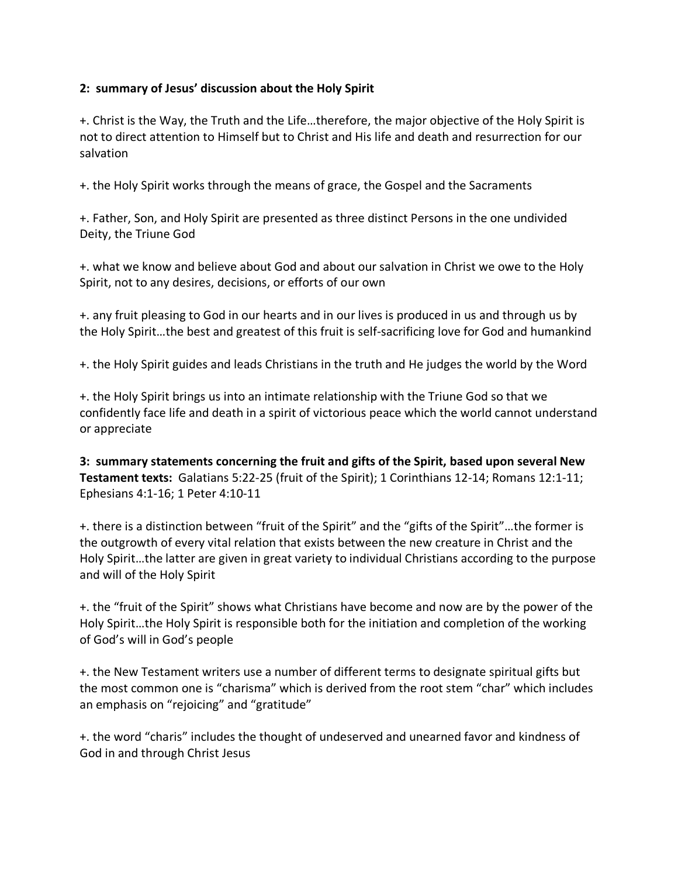## **2: summary of Jesus' discussion about the Holy Spirit**

+. Christ is the Way, the Truth and the Life…therefore, the major objective of the Holy Spirit is not to direct attention to Himself but to Christ and His life and death and resurrection for our salvation

+. the Holy Spirit works through the means of grace, the Gospel and the Sacraments

+. Father, Son, and Holy Spirit are presented as three distinct Persons in the one undivided Deity, the Triune God

+. what we know and believe about God and about our salvation in Christ we owe to the Holy Spirit, not to any desires, decisions, or efforts of our own

+. any fruit pleasing to God in our hearts and in our lives is produced in us and through us by the Holy Spirit…the best and greatest of this fruit is self-sacrificing love for God and humankind

+. the Holy Spirit guides and leads Christians in the truth and He judges the world by the Word

+. the Holy Spirit brings us into an intimate relationship with the Triune God so that we confidently face life and death in a spirit of victorious peace which the world cannot understand or appreciate

**3: summary statements concerning the fruit and gifts of the Spirit, based upon several New Testament texts:** Galatians 5:22-25 (fruit of the Spirit); 1 Corinthians 12-14; Romans 12:1-11; Ephesians 4:1-16; 1 Peter 4:10-11

+. there is a distinction between "fruit of the Spirit" and the "gifts of the Spirit"…the former is the outgrowth of every vital relation that exists between the new creature in Christ and the Holy Spirit…the latter are given in great variety to individual Christians according to the purpose and will of the Holy Spirit

+. the "fruit of the Spirit" shows what Christians have become and now are by the power of the Holy Spirit…the Holy Spirit is responsible both for the initiation and completion of the working of God's will in God's people

+. the New Testament writers use a number of different terms to designate spiritual gifts but the most common one is "charisma" which is derived from the root stem "char" which includes an emphasis on "rejoicing" and "gratitude"

+. the word "charis" includes the thought of undeserved and unearned favor and kindness of God in and through Christ Jesus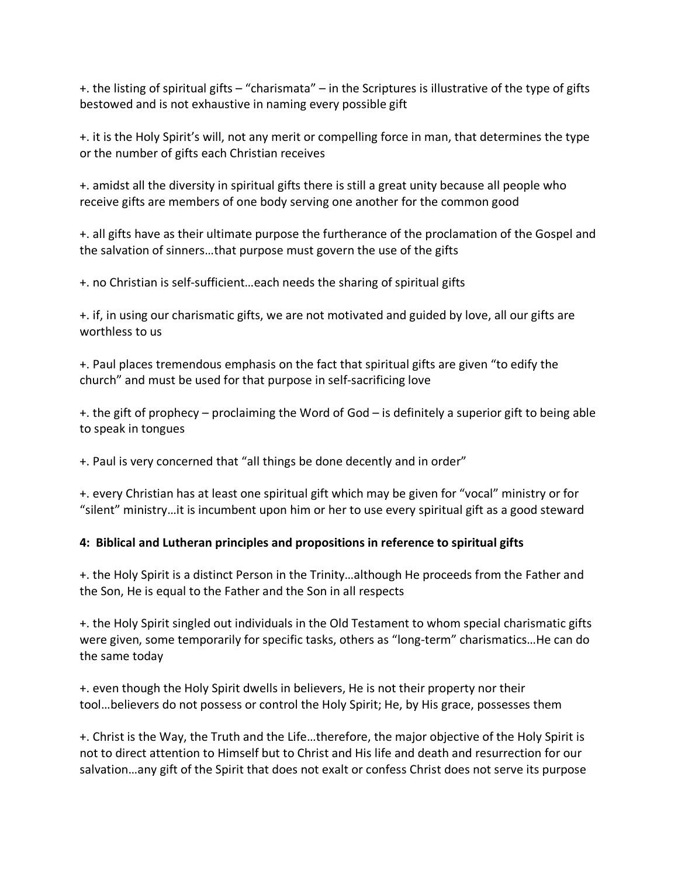+. the listing of spiritual gifts – "charismata" – in the Scriptures is illustrative of the type of gifts bestowed and is not exhaustive in naming every possible gift

+. it is the Holy Spirit's will, not any merit or compelling force in man, that determines the type or the number of gifts each Christian receives

+. amidst all the diversity in spiritual gifts there is still a great unity because all people who receive gifts are members of one body serving one another for the common good

+. all gifts have as their ultimate purpose the furtherance of the proclamation of the Gospel and the salvation of sinners…that purpose must govern the use of the gifts

+. no Christian is self-sufficient…each needs the sharing of spiritual gifts

+. if, in using our charismatic gifts, we are not motivated and guided by love, all our gifts are worthless to us

+. Paul places tremendous emphasis on the fact that spiritual gifts are given "to edify the church" and must be used for that purpose in self-sacrificing love

+. the gift of prophecy – proclaiming the Word of God – is definitely a superior gift to being able to speak in tongues

+. Paul is very concerned that "all things be done decently and in order"

+. every Christian has at least one spiritual gift which may be given for "vocal" ministry or for "silent" ministry…it is incumbent upon him or her to use every spiritual gift as a good steward

## **4: Biblical and Lutheran principles and propositions in reference to spiritual gifts**

+. the Holy Spirit is a distinct Person in the Trinity…although He proceeds from the Father and the Son, He is equal to the Father and the Son in all respects

+. the Holy Spirit singled out individuals in the Old Testament to whom special charismatic gifts were given, some temporarily for specific tasks, others as "long-term" charismatics…He can do the same today

+. even though the Holy Spirit dwells in believers, He is not their property nor their tool…believers do not possess or control the Holy Spirit; He, by His grace, possesses them

+. Christ is the Way, the Truth and the Life…therefore, the major objective of the Holy Spirit is not to direct attention to Himself but to Christ and His life and death and resurrection for our salvation…any gift of the Spirit that does not exalt or confess Christ does not serve its purpose